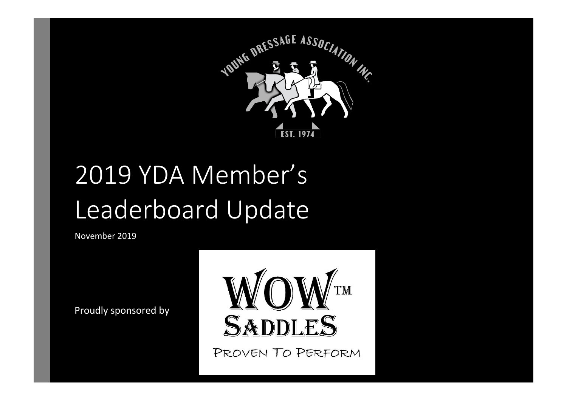

# 2019 YDA Member's Leaderboard Update

November 2019

Proudly sponsored by



PROVEN TO PERFORM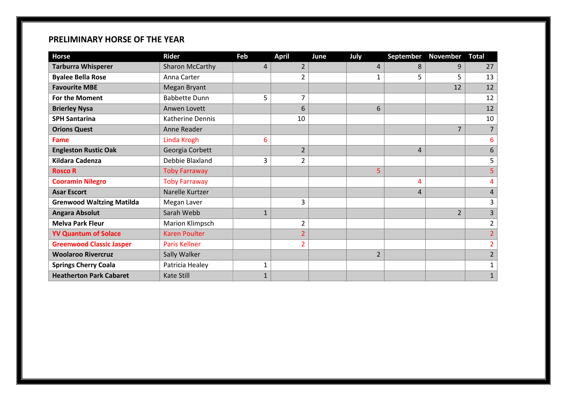#### **PRELIMINARY HORSE OF THE YEAR**

| <b>Horse</b>                     | <b>Rider</b>         | Feb          | <b>April</b>   | June | July           | September | November Total |                |
|----------------------------------|----------------------|--------------|----------------|------|----------------|-----------|----------------|----------------|
| <b>Tarburra Whisperer</b>        | Sharon McCarthy      | 4            | $\overline{2}$ |      | 4              | 8         | 9              | 27             |
| <b>Byalee Bella Rose</b>         | Anna Carter          |              | $\overline{2}$ |      | 1              | 5         | 5              | 13             |
| <b>Favourite MBE</b>             | Megan Bryant         |              |                |      |                |           | 12             | 12             |
| For the Moment                   | <b>Babbette Dunn</b> | 5            | 7              |      |                |           |                | 12             |
| <b>Brierley Nysa</b>             | Anwen Lovett         |              | 6              |      | 6              |           |                | 12             |
| <b>SPH Santarina</b>             | Katherine Dennis     |              | 10             |      |                |           |                | 10             |
| <b>Orions Quest</b>              | Anne Reader          |              |                |      |                |           | 7              |                |
| <b>Fame</b>                      | Linda Krogh          | 6            |                |      |                |           |                | 6              |
| <b>Engleston Rustic Oak</b>      | Georgia Corbett      |              | $\overline{2}$ |      |                | 4         |                | 6              |
| <b>Kildara Cadenza</b>           | Debbie Blaxland      | 3            | $\overline{2}$ |      |                |           |                | 5              |
| <b>Rosco R</b>                   | <b>Toby Farraway</b> |              |                |      | 5              |           |                | 5              |
| <b>Cooramin Nilegro</b>          | <b>Toby Farraway</b> |              |                |      |                | 4         |                | 4              |
| <b>Asar Escort</b>               | Narelle Kurtzer      |              |                |      |                | 4         |                | 4              |
| <b>Grenwood Waltzing Matilda</b> | Megan Laver          |              | 3              |      |                |           |                | 3              |
| <b>Angara Absolut</b>            | Sarah Webb           | $\mathbf{1}$ |                |      |                |           | $\overline{2}$ | 3              |
| <b>Melva Park Fleur</b>          | Marion Klimpsch      |              | $\overline{2}$ |      |                |           |                | $\overline{2}$ |
| <b>YV Quantum of Solace</b>      | <b>Karen Poulter</b> |              | $\overline{2}$ |      |                |           |                |                |
| <b>Greenwood Classic Jasper</b>  | Paris Kellner        |              | $\overline{2}$ |      |                |           |                |                |
| <b>Woolaroo Rivercruz</b>        | Sally Walker         |              |                |      | $\overline{2}$ |           |                | $\overline{2}$ |
| <b>Springs Cherry Coala</b>      | Patricia Healey      | 1            |                |      |                |           |                |                |
| <b>Heatherton Park Cabaret</b>   | <b>Kate Still</b>    | 1            |                |      |                |           |                | $\mathbf{1}$   |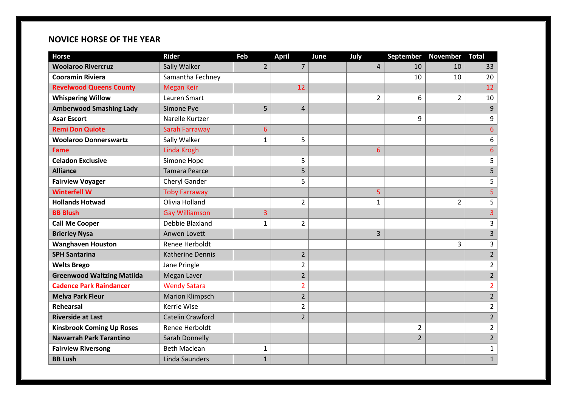#### **NOVICE HORSE OF THE YEAR**

| <b>Horse</b>                      | Rider                   | Feb            | <b>April</b>   | June | July           | <b>September</b> | <b>November</b> | <b>Total</b>            |
|-----------------------------------|-------------------------|----------------|----------------|------|----------------|------------------|-----------------|-------------------------|
| <b>Woolaroo Rivercruz</b>         | Sally Walker            | $\overline{2}$ | $\overline{7}$ |      | $\overline{4}$ | 10               | 10              | 33                      |
| <b>Cooramin Riviera</b>           | Samantha Fechney        |                |                |      |                | 10               | 10              | 20                      |
| <b>Revelwood Queens County</b>    | <b>Megan Keir</b>       |                | 12             |      |                |                  |                 | 12                      |
| <b>Whispering Willow</b>          | Lauren Smart            |                |                |      | $\overline{2}$ | 6                | $\overline{2}$  | 10                      |
| <b>Amberwood Smashing Lady</b>    | Simone Pye              | 5              | $\overline{4}$ |      |                |                  |                 | 9                       |
| <b>Asar Escort</b>                | Narelle Kurtzer         |                |                |      |                | 9                |                 | 9                       |
| <b>Remi Don Quiote</b>            | Sarah Farraway          | 6              |                |      |                |                  |                 | $\overline{6}$          |
| <b>Woolaroo Donnerswartz</b>      | Sally Walker            | 1              | 5              |      |                |                  |                 | 6                       |
| <b>Fame</b>                       | Linda Krogh             |                |                |      | 6              |                  |                 | $6\overline{6}$         |
| <b>Celadon Exclusive</b>          | Simone Hope             |                | 5              |      |                |                  |                 | 5                       |
| <b>Alliance</b>                   | <b>Tamara Pearce</b>    |                | 5              |      |                |                  |                 | 5                       |
| <b>Fairview Voyager</b>           | Cheryl Gander           |                | 5              |      |                |                  |                 | 5                       |
| <b>Winterfell W</b>               | <b>Toby Farraway</b>    |                |                |      | 5              |                  |                 | 5                       |
| <b>Hollands Hotwad</b>            | Olivia Holland          |                | $\overline{2}$ |      | $\mathbf{1}$   |                  | $\overline{2}$  | 5                       |
| <b>BB Blush</b>                   | <b>Gay Williamson</b>   | 3              |                |      |                |                  |                 | $\overline{3}$          |
| <b>Call Me Cooper</b>             | Debbie Blaxland         | 1              | $\overline{2}$ |      |                |                  |                 | 3                       |
| <b>Brierley Nysa</b>              | Anwen Lovett            |                |                |      | 3              |                  |                 | $\overline{\mathbf{3}}$ |
| <b>Wanghaven Houston</b>          | Renee Herboldt          |                |                |      |                |                  | 3               | 3                       |
| <b>SPH Santarina</b>              | <b>Katherine Dennis</b> |                | $\overline{2}$ |      |                |                  |                 | $\overline{2}$          |
| <b>Welts Brego</b>                | Jane Pringle            |                | $\overline{2}$ |      |                |                  |                 | $\overline{2}$          |
| <b>Greenwood Waltzing Matilda</b> | Megan Laver             |                | $\overline{2}$ |      |                |                  |                 | $\overline{2}$          |
| <b>Cadence Park Raindancer</b>    | <b>Wendy Satara</b>     |                | $\overline{2}$ |      |                |                  |                 | $\overline{2}$          |
| <b>Melva Park Fleur</b>           | <b>Marion Klimpsch</b>  |                | $\overline{2}$ |      |                |                  |                 | $\overline{2}$          |
| Rehearsal                         | Kerrie Wise             |                | $\overline{2}$ |      |                |                  |                 | $\overline{2}$          |
| <b>Riverside at Last</b>          | <b>Catelin Crawford</b> |                | $\overline{2}$ |      |                |                  |                 | $\overline{2}$          |
| <b>Kinsbrook Coming Up Roses</b>  | Renee Herboldt          |                |                |      |                | $\overline{2}$   |                 | $\overline{2}$          |
| <b>Nawarrah Park Tarantino</b>    | Sarah Donnelly          |                |                |      |                | $\overline{2}$   |                 | $\overline{2}$          |
| <b>Fairview Riversong</b>         | <b>Beth Maclean</b>     | $\mathbf{1}$   |                |      |                |                  |                 | $\mathbf 1$             |
| <b>BB Lush</b>                    | Linda Saunders          | $\mathbf{1}$   |                |      |                |                  |                 | $\mathbf{1}$            |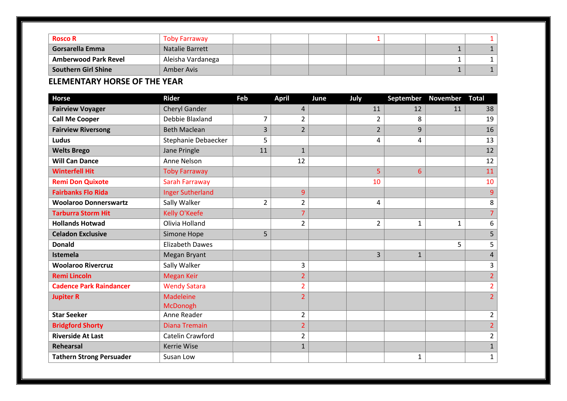| <b>Rosco R</b>              | <b>Toby Farraway</b>   |  |  |  |  |
|-----------------------------|------------------------|--|--|--|--|
| <b>Gorsarella Emma</b>      | <b>Natalie Barrett</b> |  |  |  |  |
| <b>Amberwood Park Revel</b> | Aleisha Vardanega      |  |  |  |  |
| <b>Southern Girl Shine</b>  | Amber Avis             |  |  |  |  |

#### **ELEMENTARY HORSE OF THE YEAR**

| <b>Horse</b>                    | <b>Rider</b>                 | Feb            | <b>April</b>   | June | July           | September    | November     | <b>Total</b>   |
|---------------------------------|------------------------------|----------------|----------------|------|----------------|--------------|--------------|----------------|
| <b>Fairview Voyager</b>         | <b>Cheryl Gander</b>         |                | 4              |      | 11             | 12           | 11           | 38             |
| <b>Call Me Cooper</b>           | Debbie Blaxland              | 7              | $\overline{2}$ |      | $\overline{2}$ | 8            |              | 19             |
| <b>Fairview Riversong</b>       | <b>Beth Maclean</b>          | 3              | $\overline{2}$ |      | $\overline{2}$ | 9            |              | 16             |
| Ludus                           | Stephanie Debaecker          | 5              |                |      | 4              | 4            |              | 13             |
| <b>Welts Brego</b>              | Jane Pringle                 | 11             | $\mathbf{1}$   |      |                |              |              | 12             |
| <b>Will Can Dance</b>           | Anne Nelson                  |                | 12             |      |                |              |              | 12             |
| <b>Winterfell Hit</b>           | <b>Toby Farraway</b>         |                |                |      | 5              | 6            |              | 11             |
| <b>Remi Don Quixote</b>         | Sarah Farraway               |                |                |      | 10             |              |              | 10             |
| <b>Fairbanks Flo Rida</b>       | <b>Inger Sutherland</b>      |                | 9              |      |                |              |              | 9              |
| <b>Woolaroo Donnerswartz</b>    | Sally Walker                 | $\overline{2}$ | $\overline{2}$ |      | 4              |              |              | 8              |
| <b>Tarburra Storm Hit</b>       | Kelly O'Keefe                |                | $\overline{7}$ |      |                |              |              |                |
| <b>Hollands Hotwad</b>          | Olivia Holland               |                | $\overline{2}$ |      | $\overline{2}$ | $\mathbf{1}$ | $\mathbf{1}$ | 6              |
| <b>Celadon Exclusive</b>        | Simone Hope                  | 5              |                |      |                |              |              | 5              |
| <b>Donald</b>                   | <b>Elizabeth Dawes</b>       |                |                |      |                |              | 5            | 5              |
| Istemela                        | <b>Megan Bryant</b>          |                |                |      | 3              | $\mathbf{1}$ |              | $\overline{4}$ |
| <b>Woolaroo Rivercruz</b>       | Sally Walker                 |                | 3              |      |                |              |              | 3              |
| <b>Remi Lincoln</b>             | <b>Megan Keir</b>            |                | $\overline{2}$ |      |                |              |              | $\overline{2}$ |
| <b>Cadence Park Raindancer</b>  | <b>Wendy Satara</b>          |                | $\overline{2}$ |      |                |              |              | $\overline{2}$ |
| <b>Jupiter R</b>                | <b>Madeleine</b><br>McDonogh |                | $\overline{2}$ |      |                |              |              | $\overline{2}$ |
| <b>Star Seeker</b>              | Anne Reader                  |                | $\overline{2}$ |      |                |              |              | $\overline{2}$ |
| <b>Bridgford Shorty</b>         | <b>Diana Tremain</b>         |                | $\overline{2}$ |      |                |              |              | $\overline{2}$ |
| <b>Riverside At Last</b>        | Catelin Crawford             |                | $\overline{2}$ |      |                |              |              | $\overline{2}$ |
| Rehearsal                       | <b>Kerrie Wise</b>           |                | $\mathbf{1}$   |      |                |              |              | $\mathbf{1}$   |
| <b>Tathern Strong Persuader</b> | Susan Low                    |                |                |      |                | 1            |              | $\mathbf{1}$   |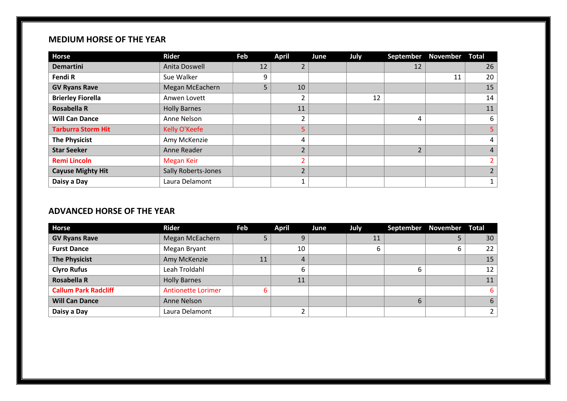#### **MEDIUM HORSE OF THE YEAR**

| <b>Horse</b>              | Rider                      | Feb | <b>April</b>   | June | <b>July</b> | <b>September</b> | <b>November Total</b> |                          |
|---------------------------|----------------------------|-----|----------------|------|-------------|------------------|-----------------------|--------------------------|
| <b>Demartini</b>          | Anita Doswell              | 12  | 2              |      |             | 12               |                       | 26                       |
| Fendi R                   | Sue Walker                 | 9   |                |      |             |                  | 11                    | 20                       |
| <b>GV Ryans Rave</b>      | Megan McEachern            | 5   | 10             |      |             |                  |                       | 15                       |
| <b>Brierley Fiorella</b>  | Anwen Lovett               |     | 2              |      | 12          |                  |                       | 14                       |
| <b>Rosabella R</b>        | <b>Holly Barnes</b>        |     | 11             |      |             |                  |                       | 11                       |
| <b>Will Can Dance</b>     | Anne Nelson                |     | 2              |      |             | 4                |                       | 6                        |
| <b>Tarburra Storm Hit</b> | Kelly O'Keefe              |     | 5              |      |             |                  |                       | 5                        |
| <b>The Physicist</b>      | Amy McKenzie               |     | 4              |      |             |                  |                       | 4                        |
| <b>Star Seeker</b>        | Anne Reader                |     | $\overline{2}$ |      |             | $\overline{2}$   |                       | $\overline{4}$           |
| <b>Remi Lincoln</b>       | <b>Megan Keir</b>          |     | 2              |      |             |                  |                       | $\overline{\phantom{a}}$ |
| <b>Cayuse Mighty Hit</b>  | <b>Sally Roberts-Jones</b> |     | $\overline{2}$ |      |             |                  |                       |                          |
| Daisy a Day               | Laura Delamont             |     | 1              |      |             |                  |                       | 1                        |

#### **ADVANCED HORSE OF THE YEAR**

| <b>Horse</b>                | <b>Rider</b>              | Feb | <b>April</b>   | June | July |   | September November Total |    |
|-----------------------------|---------------------------|-----|----------------|------|------|---|--------------------------|----|
| <b>GV Ryans Rave</b>        | Megan McEachern           |     | 9              |      | 11   |   |                          | 30 |
| <b>Furst Dance</b>          | Megan Bryant              |     | 10             |      |      |   | ь                        | 22 |
| <b>The Physicist</b>        | Amy McKenzie              | 11  | $\overline{4}$ |      |      |   |                          | 15 |
| <b>Clyro Rufus</b>          | Leah Troldahl             |     | 6              |      |      | 6 |                          | 12 |
| <b>Rosabella R</b>          | <b>Holly Barnes</b>       |     | 11             |      |      |   |                          | 11 |
| <b>Callum Park Radcliff</b> | <b>Antionette Lorimer</b> | b   |                |      |      |   |                          | 6  |
| <b>Will Can Dance</b>       | Anne Nelson               |     |                |      |      | 6 |                          | 6  |
| Daisy a Day                 | Laura Delamont            |     |                |      |      |   |                          |    |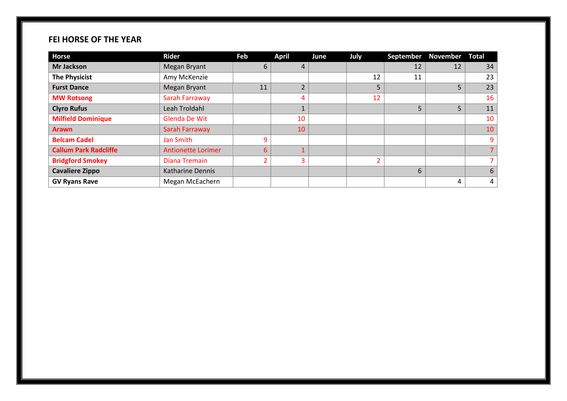#### **FEI HORSE OF THE YEAR**

| <b>Horse</b>                 | <b>Rider</b>              | Feb | <b>April</b>   | June | July | September | <b>November Total</b> |    |
|------------------------------|---------------------------|-----|----------------|------|------|-----------|-----------------------|----|
| <b>Mr Jackson</b>            | <b>Megan Bryant</b>       | 6   | 4              |      |      | 12        | 12                    | 34 |
| <b>The Physicist</b>         | Amy McKenzie              |     |                |      | 12   | 11        |                       | 23 |
| <b>Furst Dance</b>           | <b>Megan Bryant</b>       | 11  | $\overline{2}$ |      | 5    |           | 5                     | 23 |
| <b>MW Rotsong</b>            | Sarah Farraway            |     | 4              |      | 12   |           |                       | 16 |
| <b>Clyro Rufus</b>           | Leah Troldahl             |     |                |      |      | 5         | 5                     | 11 |
| <b>Milfield Dominique</b>    | Glenda De Wit             |     | 10             |      |      |           |                       | 10 |
| <b>Arawn</b>                 | Sarah Farraway            |     | 10             |      |      |           |                       | 10 |
| <b>Belcam Cadel</b>          | <b>Jan Smith</b>          | 9   |                |      |      |           |                       | 9  |
| <b>Callum Park Radcliffe</b> | <b>Antionette Lorimer</b> | 6   | и              |      |      |           |                       |    |
| <b>Bridgford Smokey</b>      | <b>Diana Tremain</b>      | 2   | 3              |      |      |           |                       |    |
| <b>Cavaliere Zippo</b>       | Katharine Dennis          |     |                |      |      | 6         |                       | 6  |
| <b>GV Ryans Rave</b>         | Megan McEachern           |     |                |      |      |           | 4                     | 4  |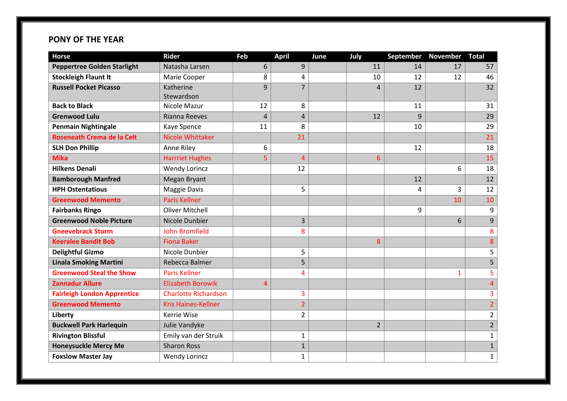#### **PONY OF THE YEAR**

| <b>Horse</b>                       | <b>Rider</b>                | Feb | <b>April</b>            | June | July           | September | <b>November</b> | <b>Total</b>   |
|------------------------------------|-----------------------------|-----|-------------------------|------|----------------|-----------|-----------------|----------------|
| <b>Peppertree Golden Starlight</b> | Natasha Larsen              | 6   | 9                       |      | 11             | 14        | 17              | 57             |
| <b>Stockleigh Flaunt It</b>        | Marie Cooper                | 8   | $\overline{\mathbf{4}}$ |      | 10             | 12        | 12              | 46             |
| <b>Russell Pocket Picasso</b>      | Katherine                   | 9   | $\overline{7}$          |      | $\overline{4}$ | 12        |                 | 32             |
|                                    | Stewardson                  |     |                         |      |                |           |                 |                |
| <b>Back to Black</b>               | Nicole Mazur                | 12  | 8                       |      |                | 11        |                 | 31             |
| <b>Grenwood Lulu</b>               | Rianna Reeves               | 4   | 4                       |      | 12             | 9         |                 | 29             |
| <b>Penmain Nightingale</b>         | Kaye Spence                 | 11  | 8                       |      |                | 10        |                 | 29             |
| <b>Roseneath Crema de la Celt</b>  | Nicole Whittaker            |     | 21                      |      |                |           |                 | 21             |
| <b>SLH Don Phillip</b>             | Anne Riley                  | 6   |                         |      |                | 12        |                 | 18             |
| <b>Mika</b>                        | <b>Harrriet Hughes</b>      | 5   | $\overline{4}$          |      | 6              |           |                 | 15             |
| <b>Hilkens Denali</b>              | <b>Wendy Lorincz</b>        |     | 12                      |      |                |           | 6               | 18             |
| <b>Bamborough Manfred</b>          | Megan Bryant                |     |                         |      |                | 12        |                 | 12             |
| <b>HPH Ostentatious</b>            | <b>Maggie Davis</b>         |     | 5                       |      |                | 4         | 3               | 12             |
| <b>Greenwood Memento</b>           | <b>Paris Kellner</b>        |     |                         |      |                |           | 10              | 10             |
| <b>Fairbanks Ringo</b>             | <b>Oliver Mitchell</b>      |     |                         |      |                | 9         |                 | 9              |
| <b>Greenwood Noble Picture</b>     | Nicole Dunbier              |     | 3                       |      |                |           | 6               | $\overline{9}$ |
| <b>Gneevebrack Storm</b>           | <b>John Bromfield</b>       |     | 8                       |      |                |           |                 | 8              |
| <b>Keeralee Bandit Bob</b>         | <b>Fiona Baker</b>          |     |                         |      | 8              |           |                 | 8              |
| <b>Delightful Gizmo</b>            | Nicole Dunbier              |     | 5                       |      |                |           |                 | 5              |
| <b>Linala Smoking Martini</b>      | Rebecca Balmer              |     | 5                       |      |                |           |                 | 5              |
| <b>Greenwood Steal the Show</b>    | <b>Paris Kellner</b>        |     | 4                       |      |                |           | $\mathbf{1}$    | 5              |
| <b>Zannadur Allure</b>             | <b>Elizabeth Borowik</b>    | 4   |                         |      |                |           |                 | $\overline{4}$ |
| <b>Fairleigh London Apprentice</b> | <b>Charlotte Richardson</b> |     | 3                       |      |                |           |                 | 3              |
| <b>Greenwood Memento</b>           | <b>Kris Haines-Kellner</b>  |     | $\overline{2}$          |      |                |           |                 | $\overline{2}$ |
| Liberty                            | <b>Kerrie Wise</b>          |     | $\overline{2}$          |      |                |           |                 | $\overline{2}$ |
| <b>Buckwell Park Harlequin</b>     | Julie Vandyke               |     |                         |      | $\overline{2}$ |           |                 | $\overline{2}$ |
| <b>Rivington Blissful</b>          | Emily van der Struik        |     | $\mathbf 1$             |      |                |           |                 | $\mathbf{1}$   |
| <b>Honeysuckle Mercy Me</b>        | <b>Sharon Ross</b>          |     | $\mathbf 1$             |      |                |           |                 | $\mathbf{1}$   |
| <b>Foxslow Master Jay</b>          | <b>Wendy Lorincz</b>        |     | $\mathbf{1}$            |      |                |           |                 | $\mathbf{1}$   |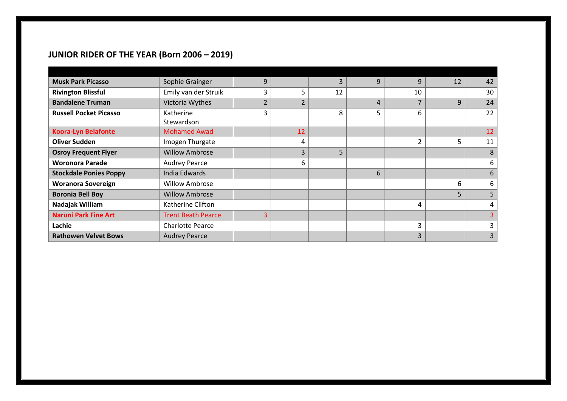## **JUNIOR RIDER OF THE YEAR (Born 2006 – 2019)**

| <b>Musk Park Picasso</b>      | Sophie Grainger           | 9              |                | 3  | 9              | 9  | 12 | 42 |
|-------------------------------|---------------------------|----------------|----------------|----|----------------|----|----|----|
| <b>Rivington Blissful</b>     | Emily van der Struik      | 3              | 5              | 12 |                | 10 |    | 30 |
| <b>Bandalene Truman</b>       | Victoria Wythes           | $\overline{2}$ | $\overline{2}$ |    | $\overline{4}$ |    | 9  | 24 |
| <b>Russell Pocket Picasso</b> | Katherine<br>Stewardson   | 3              |                | 8  | 5              | 6  |    | 22 |
| <b>Koora-Lyn Belafonte</b>    | <b>Mohamed Awad</b>       |                | 12             |    |                |    |    | 12 |
| <b>Oliver Sudden</b>          | Imogen Thurgate           |                | 4              |    |                | 2  | 5  | 11 |
| <b>Osroy Frequent Flyer</b>   | <b>Willow Ambrose</b>     |                | 3              | 5  |                |    |    | 8  |
| <b>Woronora Parade</b>        | <b>Audrey Pearce</b>      |                | 6              |    |                |    |    | 6  |
| <b>Stockdale Ponies Poppy</b> | India Edwards             |                |                |    | 6              |    |    | 6  |
| <b>Woranora Sovereign</b>     | <b>Willow Ambrose</b>     |                |                |    |                |    | 6  | 6  |
| <b>Boronia Bell Boy</b>       | <b>Willow Ambrose</b>     |                |                |    |                |    | 5  | 5  |
| Nadajak William               | Katherine Clifton         |                |                |    |                | 4  |    | 4  |
| <b>Naruni Park Fine Art</b>   | <b>Trent Beath Pearce</b> | 3              |                |    |                |    |    |    |
| Lachie                        | <b>Charlotte Pearce</b>   |                |                |    |                | 3  |    | 3  |
| <b>Rathowen Velvet Bows</b>   | <b>Audrey Pearce</b>      |                |                |    |                | 3  |    | 3  |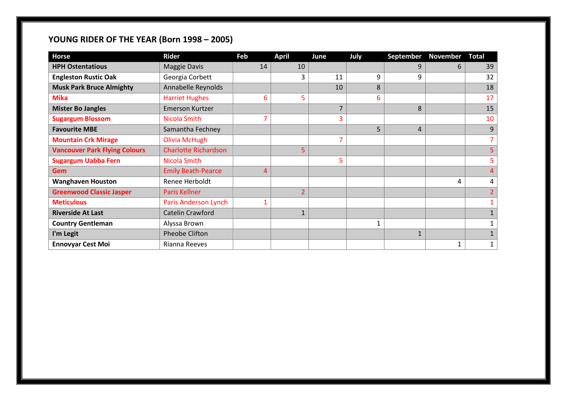## **YOUNG RIDER OF THE YEAR (Born 1998 – 2005)**

| <b>Horse</b>                         | <b>Rider</b>                | Feb | <b>April</b>   | June | July | <b>September</b> | November | Total |
|--------------------------------------|-----------------------------|-----|----------------|------|------|------------------|----------|-------|
| <b>HPH Ostentatious</b>              | <b>Maggie Davis</b>         | 14  | 10             |      |      | 9                | 6        | 39    |
| <b>Engleston Rustic Oak</b>          | Georgia Corbett             |     | 3              | 11   | 9    | 9                |          | 32    |
| <b>Musk Park Bruce Almighty</b>      | Annabelle Reynolds          |     |                | 10   | 8    |                  |          | 18    |
| <b>Mika</b>                          | <b>Harriet Hughes</b>       | 6   | 5              |      | 6    |                  |          | 17    |
| <b>Mister Bo Jangles</b>             | <b>Emerson Kurtzer</b>      |     |                | 7    |      | 8                |          | 15    |
| <b>Sugargum Blossom</b>              | Nicola Smith                | 7   |                | 3    |      |                  |          | 10    |
| <b>Favourite MBE</b>                 | Samantha Fechney            |     |                |      | 5    | 4                |          | 9     |
| <b>Mountain Crk Mirage</b>           | <b>Olivia McHugh</b>        |     |                | 7    |      |                  |          |       |
| <b>Vancouver Park Flying Colours</b> | <b>Charlotte Richardson</b> |     | 5              |      |      |                  |          |       |
| <b>Sugargum Uabba Fern</b>           | Nicola Smith                |     |                | 5    |      |                  |          |       |
| <b>Gem</b>                           | <b>Emily Beath-Pearce</b>   | 4   |                |      |      |                  |          |       |
| <b>Wanghaven Houston</b>             | Renee Herboldt              |     |                |      |      |                  | 4        | 4     |
| <b>Greenwood Classic Jasper</b>      | Paris Kellner               |     | $\overline{2}$ |      |      |                  |          |       |
| <b>Meticulous</b>                    | Paris Anderson Lynch        |     |                |      |      |                  |          |       |
| <b>Riverside At Last</b>             | <b>Catelin Crawford</b>     |     | 1              |      |      |                  |          |       |
| <b>Country Gentleman</b>             | Alyssa Brown                |     |                |      | 1    |                  |          |       |
| I'm Legit                            | Pheobe Clifton              |     |                |      |      | $\mathbf{1}$     |          |       |
| <b>Ennovyar Cest Moi</b>             | Rianna Reeves               |     |                |      |      |                  | 1        | 1     |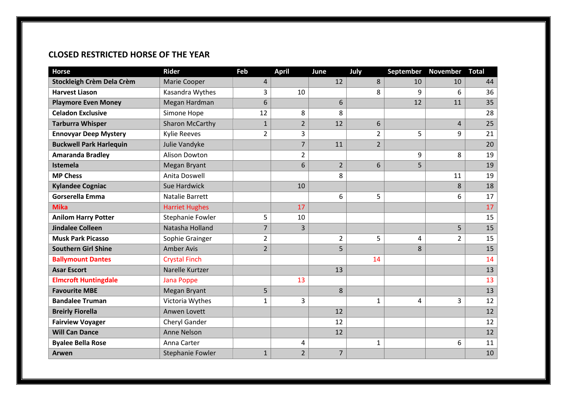#### **CLOSED RESTRICTED HORSE OF THE YEAR**

| <b>Horse</b>                   | <b>Rider</b>           | Feb            | <b>April</b>   | June           | July           | September | <b>November</b> | <b>Total</b> |
|--------------------------------|------------------------|----------------|----------------|----------------|----------------|-----------|-----------------|--------------|
| Stockleigh Crèm Dela Crèm      | Marie Cooper           | 4              |                | 12             | 8              | 10        | 10              | 44           |
| <b>Harvest Liason</b>          | Kasandra Wythes        | 3              | 10             |                | 8              | 9         | 6               | 36           |
| <b>Playmore Even Money</b>     | Megan Hardman          | 6              |                | 6              |                | 12        | 11              | 35           |
| <b>Celadon Exclusive</b>       | Simone Hope            | 12             | 8              | 8              |                |           |                 | 28           |
| <b>Tarburra Whisper</b>        | <b>Sharon McCarthy</b> | $\mathbf{1}$   | $\overline{2}$ | 12             | 6              |           | 4               | 25           |
| <b>Ennovyar Deep Mystery</b>   | <b>Kylie Reeves</b>    | $\overline{2}$ | 3              |                | 2              | 5         | 9               | 21           |
| <b>Buckwell Park Harlequin</b> | Julie Vandyke          |                | $\overline{7}$ | 11             | $\overline{2}$ |           |                 | 20           |
| <b>Amaranda Bradley</b>        | Alison Dowton          |                | $\overline{2}$ |                |                | 9         | 8               | 19           |
| Istemela                       | <b>Megan Bryant</b>    |                | 6              | $\overline{2}$ | 6              | 5         |                 | 19           |
| <b>MP Chess</b>                | Anita Doswell          |                |                | 8              |                |           | 11              | 19           |
| <b>Kylandee Cogniac</b>        | Sue Hardwick           |                | 10             |                |                |           | 8               | 18           |
| Gorserella Emma                | Natalie Barrett        |                |                | 6              | 5              |           | 6               | 17           |
| <b>Mika</b>                    | <b>Harriet Hughes</b>  |                | 17             |                |                |           |                 | 17           |
| <b>Anilom Harry Potter</b>     | Stephanie Fowler       | 5              | 10             |                |                |           |                 | 15           |
| <b>Jindalee Colleen</b>        | Natasha Holland        | $\overline{7}$ | 3              |                |                |           | 5               | 15           |
| <b>Musk Park Picasso</b>       | Sophie Grainger        | $\overline{2}$ |                | $\overline{2}$ | 5              | 4         | $\overline{2}$  | 15           |
| <b>Southern Girl Shine</b>     | <b>Amber Avis</b>      | $\overline{2}$ |                | 5              |                | 8         |                 | 15           |
| <b>Ballymount Dantes</b>       | <b>Crystal Finch</b>   |                |                |                | 14             |           |                 | 14           |
| <b>Asar Escort</b>             | Narelle Kurtzer        |                |                | 13             |                |           |                 | 13           |
| <b>Elmcroft Huntingdale</b>    | <b>Jana Poppe</b>      |                | 13             |                |                |           |                 | 13           |
| <b>Favourite MBE</b>           | <b>Megan Bryant</b>    | 5              |                | 8              |                |           |                 | 13           |
| <b>Bandalee Truman</b>         | Victoria Wythes        | $\mathbf{1}$   | 3              |                | 1              | 4         | 3               | 12           |
| <b>Breirly Fiorella</b>        | Anwen Lovett           |                |                | 12             |                |           |                 | 12           |
| <b>Fairview Voyager</b>        | Cheryl Gander          |                |                | 12             |                |           |                 | 12           |
| <b>Will Can Dance</b>          | Anne Nelson            |                |                | 12             |                |           |                 | 12           |
| <b>Byalee Bella Rose</b>       | Anna Carter            |                | 4              |                | 1              |           | 6               | 11           |
| Arwen                          | Stephanie Fowler       | $\mathbf{1}$   | $\overline{2}$ | $\overline{7}$ |                |           |                 | 10           |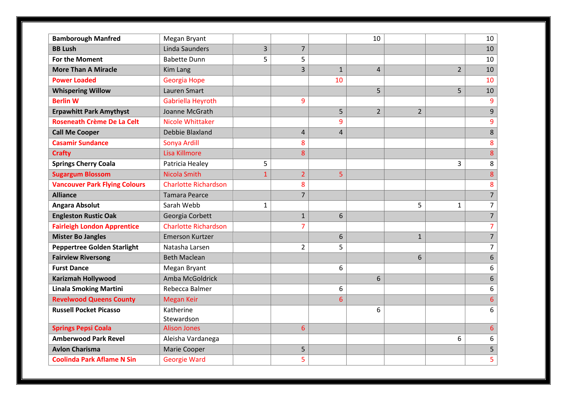| <b>Bamborough Manfred</b>            | Megan Bryant                |              |                         |                | 10             |                |                | 10               |
|--------------------------------------|-----------------------------|--------------|-------------------------|----------------|----------------|----------------|----------------|------------------|
| <b>BB Lush</b>                       | Linda Saunders              | 3            | $\overline{7}$          |                |                |                |                | 10               |
| For the Moment                       | <b>Babette Dunn</b>         | 5            | 5                       |                |                |                |                | 10               |
| <b>More Than A Miracle</b>           | Kim Lang                    |              | 3                       | $\mathbf{1}$   | $\overline{4}$ |                | $\overline{2}$ | 10               |
| <b>Power Loaded</b>                  | Georgia Hope                |              |                         | 10             |                |                |                | 10               |
| <b>Whispering Willow</b>             | Lauren Smart                |              |                         |                | 5              |                | 5              | 10               |
| <b>Berlin W</b>                      | Gabriella Heyroth           |              | 9                       |                |                |                |                | 9                |
| <b>Erpawhitt Park Amythyst</b>       | Joanne McGrath              |              |                         | 5              | $\overline{2}$ | $\overline{2}$ |                | 9                |
| Roseneath Crème De La Celt           | <b>Nicole Whittaker</b>     |              |                         | 9              |                |                |                | 9                |
| <b>Call Me Cooper</b>                | Debbie Blaxland             |              | $\overline{\mathbf{4}}$ | $\overline{4}$ |                |                |                | 8                |
| <b>Casamir Sundance</b>              | Sonya Ardill                |              | 8                       |                |                |                |                | 8                |
| <b>Crafty</b>                        | Lisa Killmore               |              | $\boldsymbol{8}$        |                |                |                |                | 8                |
| <b>Springs Cherry Coala</b>          | Patricia Healey             | 5            |                         |                |                |                | 3              | 8                |
| <b>Sugargum Blossom</b>              | Nicola Smith                | $\mathbf{1}$ | $\overline{2}$          | 5              |                |                |                | 8                |
| <b>Vancouver Park Flying Colours</b> | <b>Charlotte Richardson</b> |              | 8                       |                |                |                |                | 8                |
| <b>Alliance</b>                      | <b>Tamara Pearce</b>        |              | $\overline{7}$          |                |                |                |                | $\overline{7}$   |
| <b>Angara Absolut</b>                | Sarah Webb                  | 1            |                         |                |                | 5              | $\mathbf 1$    | $\overline{7}$   |
| <b>Engleston Rustic Oak</b>          | Georgia Corbett             |              | $\mathbf{1}$            | 6              |                |                |                | $\overline{7}$   |
| <b>Fairleigh London Apprentice</b>   | <b>Charlotte Richardson</b> |              | $\overline{7}$          |                |                |                |                | $\overline{7}$   |
| <b>Mister Bo Jangles</b>             | <b>Emerson Kurtzer</b>      |              |                         | 6              |                | $\mathbf{1}$   |                | $\overline{7}$   |
| <b>Peppertree Golden Starlight</b>   | Natasha Larsen              |              | $\overline{2}$          | 5              |                |                |                | $\overline{7}$   |
| <b>Fairview Riversong</b>            | <b>Beth Maclean</b>         |              |                         |                |                | 6              |                | $\boldsymbol{6}$ |
| <b>Furst Dance</b>                   | Megan Bryant                |              |                         | 6              |                |                |                | 6                |
| <b>Karizmah Hollywood</b>            | Amba McGoldrick             |              |                         |                | 6              |                |                | $\boldsymbol{6}$ |
| <b>Linala Smoking Martini</b>        | Rebecca Balmer              |              |                         | 6              |                |                |                | 6                |
| <b>Revelwood Queens County</b>       | <b>Megan Keir</b>           |              |                         | 6              |                |                |                | $6\overline{6}$  |
| <b>Russell Pocket Picasso</b>        | Katherine<br>Stewardson     |              |                         |                | 6              |                |                | 6                |
| <b>Springs Pepsi Coala</b>           | <b>Alison Jones</b>         |              | $6\overline{6}$         |                |                |                |                | $6\phantom{1}$   |
| <b>Amberwood Park Revel</b>          | Aleisha Vardanega           |              |                         |                |                |                | 6              | 6                |
| <b>Avlon Charisma</b>                | Marie Cooper                |              | 5                       |                |                |                |                | 5                |
| <b>Coolinda Park Aflame N Sin</b>    | <b>Georgie Ward</b>         |              | 5                       |                |                |                |                | 5                |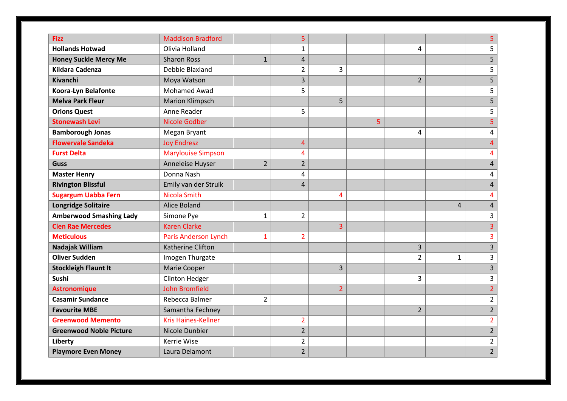| <b>Fizz</b>                    | <b>Maddison Bradford</b>    |                | 5                       |                |   |                |                | 5                       |
|--------------------------------|-----------------------------|----------------|-------------------------|----------------|---|----------------|----------------|-------------------------|
| <b>Hollands Hotwad</b>         | Olivia Holland              |                | $\mathbf{1}$            |                |   | 4              |                | 5                       |
| <b>Honey Suckle Mercy Me</b>   | <b>Sharon Ross</b>          | $\mathbf{1}$   | $\overline{\mathbf{4}}$ |                |   |                |                | 5                       |
| <b>Kildara Cadenza</b>         | Debbie Blaxland             |                | $\overline{2}$          | 3              |   |                |                | 5                       |
| <b>Kivanchi</b>                | Moya Watson                 |                | 3                       |                |   | $\overline{2}$ |                | 5                       |
| Koora-Lyn Belafonte            | <b>Mohamed Awad</b>         |                | 5                       |                |   |                |                | 5                       |
| <b>Melva Park Fleur</b>        | <b>Marion Klimpsch</b>      |                |                         | 5              |   |                |                | 5                       |
| <b>Orions Quest</b>            | Anne Reader                 |                | 5                       |                |   |                |                | 5                       |
| <b>Stonewash Levi</b>          | Nicole Godber               |                |                         |                | 5 |                |                | $\overline{5}$          |
| <b>Bamborough Jonas</b>        | Megan Bryant                |                |                         |                |   | 4              |                | 4                       |
| <b>Flowervale Sandeka</b>      | <b>Joy Endresz</b>          |                | $\overline{4}$          |                |   |                |                | $\overline{4}$          |
| <b>Furst Delta</b>             | <b>Marylouise Simpson</b>   |                | $\overline{\mathbf{4}}$ |                |   |                |                | $\overline{\mathbf{4}}$ |
| <b>Guss</b>                    | Anneleise Huyser            | $\overline{2}$ | $\overline{2}$          |                |   |                |                | $\overline{\mathbf{4}}$ |
| <b>Master Henry</b>            | Donna Nash                  |                | 4                       |                |   |                |                | 4                       |
| <b>Rivington Blissful</b>      | Emily van der Struik        |                | $\overline{4}$          |                |   |                |                | $\overline{4}$          |
| <b>Sugargum Uabba Fern</b>     | Nicola Smith                |                |                         | 4              |   |                |                | 4                       |
| <b>Longridge Solitaire</b>     | <b>Alice Boland</b>         |                |                         |                |   |                | $\overline{4}$ | $\overline{\mathbf{4}}$ |
| <b>Amberwood Smashing Lady</b> | Simone Pye                  | $\mathbf{1}$   | $\overline{2}$          |                |   |                |                | 3                       |
| <b>Clen Rae Mercedes</b>       | <b>Karen Clarke</b>         |                |                         | 3              |   |                |                | 3                       |
| <b>Meticulous</b>              | <b>Paris Anderson Lynch</b> | 1              | $\overline{2}$          |                |   |                |                | 3                       |
| Nadajak William                | Katherine Clifton           |                |                         |                |   | $\overline{3}$ |                | $\overline{\mathbf{3}}$ |
| <b>Oliver Sudden</b>           | Imogen Thurgate             |                |                         |                |   | $\overline{2}$ | 1              | 3                       |
| <b>Stockleigh Flaunt It</b>    | Marie Cooper                |                |                         | $\overline{3}$ |   |                |                | $\overline{\mathbf{3}}$ |
| <b>Sushi</b>                   | <b>Clinton Hedger</b>       |                |                         |                |   | 3              |                | 3                       |
| <b>Astronomique</b>            | <b>John Bromfield</b>       |                |                         | $\overline{2}$ |   |                |                | $\overline{2}$          |
| <b>Casamir Sundance</b>        | Rebecca Balmer              | $\overline{2}$ |                         |                |   |                |                | $\overline{2}$          |
| <b>Favourite MBE</b>           | Samantha Fechney            |                |                         |                |   | $\overline{2}$ |                | $\overline{2}$          |
| <b>Greenwood Memento</b>       | <b>Kris Haines-Kellner</b>  |                | $\overline{2}$          |                |   |                |                | $\overline{2}$          |
| <b>Greenwood Noble Picture</b> | Nicole Dunbier              |                | $\overline{2}$          |                |   |                |                | $\overline{2}$          |
| Liberty                        | Kerrie Wise                 |                | $\overline{2}$          |                |   |                |                | $\overline{2}$          |
| <b>Playmore Even Money</b>     | Laura Delamont              |                | $\overline{2}$          |                |   |                |                | $\overline{2}$          |